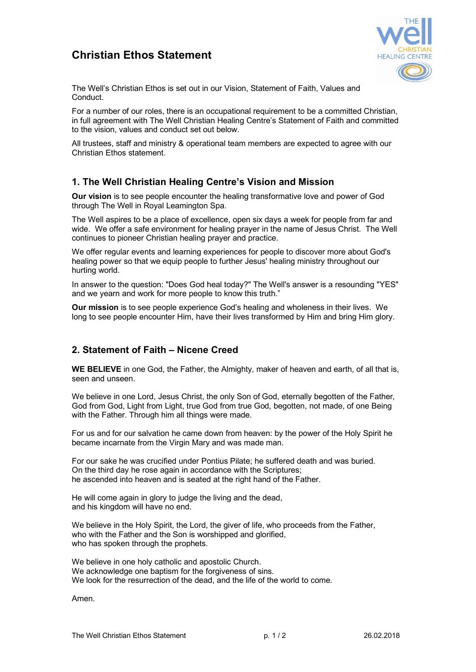# **Christian Ethos Statement**



The Well's Christian Ethos is set out in our Vision, Statement of Faith, Values and Conduct.

For a number of our roles, there is an occupational requirement to be a committed Christian, in full agreement with The Well Christian Healing Centre's Statement of Faith and committed to the vision, values and conduct set out below.

All trustees, staff and ministry & operational team members are expected to agree with our Christian Ethos statement.

# **1. The Well Christian Healing Centre's Vision and Mission**

**Our vision** is to see people encounter the healing transformative love and power of God through The Well in Royal Leamington Spa.

The Well aspires to be a place of excellence, open six days a week for people from far and wide. We offer a safe environment for healing prayer in the name of Jesus Christ. The Well continues to pioneer Christian healing prayer and practice.

We offer regular events and learning experiences for people to discover more about God's healing power so that we equip people to further Jesus' healing ministry throughout our hurting world.

In answer to the question: "Does God heal today?" The Well's answer is a resounding "YES" and we yearn and work for more people to know this truth."

**Our mission** is to see people experience God's healing and wholeness in their lives. We long to see people encounter Him, have their lives transformed by Him and bring Him glory.

# **2. Statement of Faith – Nicene Creed**

**WE BELIEVE** in one God, the Father, the Almighty, maker of heaven and earth, of all that is, seen and unseen.

We believe in one Lord, Jesus Christ, the only Son of God, eternally begotten of the Father, God from God, Light from Light, true God from true God, begotten, not made, of one Being with the Father. Through him all things were made.

For us and for our salvation he came down from heaven: by the power of the Holy Spirit he became incarnate from the Virgin Mary and was made man.

For our sake he was crucified under Pontius Pilate; he suffered death and was buried. On the third day he rose again in accordance with the Scriptures; he ascended into heaven and is seated at the right hand of the Father.

He will come again in glory to judge the living and the dead, and his kingdom will have no end.

We believe in the Holy Spirit, the Lord, the giver of life, who proceeds from the Father, who with the Father and the Son is worshipped and glorified, who has spoken through the prophets.

We believe in one holy catholic and apostolic Church. We acknowledge one baptism for the forgiveness of sins. We look for the resurrection of the dead, and the life of the world to come.

Amen.